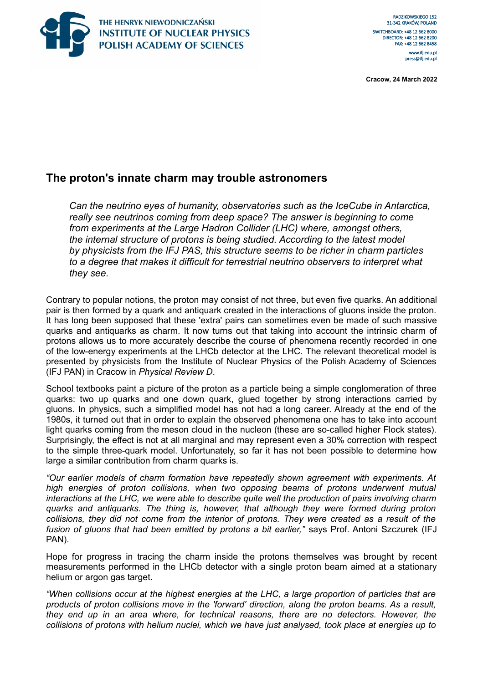

**Cracow, 24 March 2022**

# **The proton's innate charm may trouble astronomers**

*Can the neutrino eyes of humanity, observatories such as the IceCube in Antarctica, really see neutrinos coming from deep space? The answer is beginning to come from experiments at the Large Hadron Collider (LHC) where, amongst others, the internal structure of protons is being studied. According to the latest model by physicists from the IFJ PAS, this structure seems to be richer in charm particles to a degree that makes it difficult for terrestrial neutrino observers to interpret what they see.*

Contrary to popular notions, the proton may consist of not three, but even five quarks. An additional pair is then formed by a quark and antiquark created in the interactions of gluons inside the proton. It has long been supposed that these 'extra' pairs can sometimes even be made of such massive quarks and antiquarks as charm. It now turns out that taking into account the intrinsic charm of protons allows us to more accurately describe the course of phenomena recently recorded in one of the low-energy experiments at the LHCb detector at the LHC. The relevant theoretical model is presented by physicists from the Institute of Nuclear Physics of the Polish Academy of Sciences (IFJ PAN) in Cracow in *Physical Review D*.

School textbooks paint a picture of the proton as a particle being a simple conglomeration of three quarks: two up quarks and one down quark, glued together by strong interactions carried by gluons. In physics, such a simplified model has not had a long career. Already at the end of the 1980s, it turned out that in order to explain the observed phenomena one has to take into account light quarks coming from the meson cloud in the nucleon (these are so-called higher Flock states). Surprisingly, the effect is not at all marginal and may represent even a 30% correction with respect to the simple three-quark model. Unfortunately, so far it has not been possible to determine how large a similar contribution from charm quarks is.

*"Our earlier models of charm formation have repeatedly shown agreement with experiments. At high energies of proton collisions, when two opposing beams of protons underwent mutual interactions at the LHC, we were able to describe quite well the production of pairs involving charm quarks and antiquarks. The thing is, however, that although they were formed during proton collisions, they did not come from the interior of protons. They were created as a result of the fusion of gluons that had been emitted by protons a bit earlier,"* says Prof. Antoni Szczurek (IFJ PAN).

Hope for progress in tracing the charm inside the protons themselves was brought by recent measurements performed in the LHCb detector with a single proton beam aimed at a stationary helium or argon gas target.

*"When collisions occur at the highest energies at the LHC, a large proportion of particles that are products of proton collisions move in the 'forward' direction, along the proton beams. As a result, they end up in an area where, for technical reasons, there are no detectors. However, the collisions of protons with helium nuclei, which we have just analysed, took place at energies up to*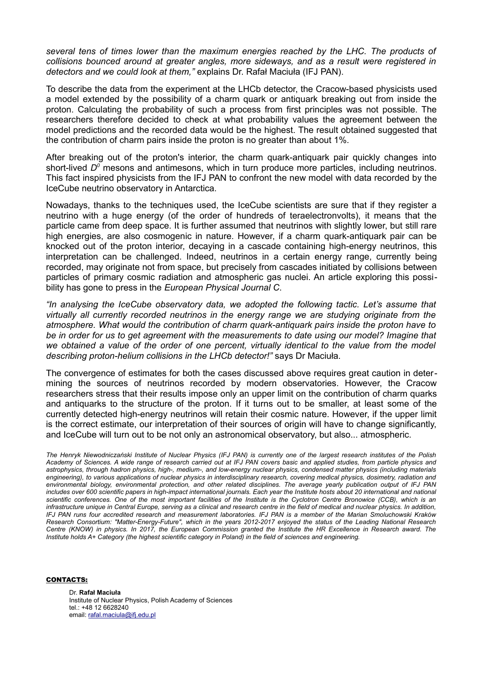*several tens of times lower than the maximum energies reached by the LHC. The products of collisions bounced around at greater angles, more sideways, and as a result were registered in detectors and we could look at them,"* explains Dr. Rafał Maciuła (IFJ PAN).

To describe the data from the experiment at the LHCb detector, the Cracow-based physicists used a model extended by the possibility of a charm quark or antiquark breaking out from inside the proton. Calculating the probability of such a process from first principles was not possible. The researchers therefore decided to check at what probability values the agreement between the model predictions and the recorded data would be the highest. The result obtained suggested that the contribution of charm pairs inside the proton is no greater than about 1%.

After breaking out of the proton's interior, the charm quark-antiquark pair quickly changes into short-lived D<sup>o</sup> mesons and antimesons, which in turn produce more particles, including neutrinos. This fact inspired physicists from the IFJ PAN to confront the new model with data recorded by the IceCube neutrino observatory in Antarctica.

Nowadays, thanks to the techniques used, the IceCube scientists are sure that if they register a neutrino with a huge energy (of the order of hundreds of teraelectronvolts), it means that the particle came from deep space. It is further assumed that neutrinos with slightly lower, but still rare high energies, are also cosmogenic in nature. However, if a charm quark-antiquark pair can be knocked out of the proton interior, decaying in a cascade containing high-energy neutrinos, this interpretation can be challenged. Indeed, neutrinos in a certain energy range, currently being recorded, may originate not from space, but precisely from cascades initiated by collisions between particles of primary cosmic radiation and atmospheric gas nuclei. An article exploring this possibility has gone to press in the *European Physical Journal C*.

*"In analysing the IceCube observatory data, we adopted the following tactic. Let's assume that virtually all currently recorded neutrinos in the energy range we are studying originate from the atmosphere. What would the contribution of charm quark-antiquark pairs inside the proton have to be in order for us to get agreement with the measurements to date using our model? Imagine that we obtained a value of the order of one percent, virtually identical to the value from the model describing proton-helium collisions in the LHCb detector!"* says Dr Maciuła.

The convergence of estimates for both the cases discussed above requires great caution in determining the sources of neutrinos recorded by modern observatories. However, the Cracow researchers stress that their results impose only an upper limit on the contribution of charm quarks and antiquarks to the structure of the proton. If it turns out to be smaller, at least some of the currently detected high-energy neutrinos will retain their cosmic nature. However, if the upper limit is the correct estimate, our interpretation of their sources of origin will have to change significantly, and IceCube will turn out to be not only an astronomical observatory, but also... atmospheric.

*The Henryk Niewodniczański Institute of Nuclear Physics (IFJ PAN) is currently one of the largest research institutes of the Polish Academy of Sciences. A wide range of research carried out at IFJ PAN covers basic and applied studies, from particle physics and astrophysics, through hadron physics, high-, medium-, and low-energy nuclear physics, condensed matter physics (including materials engineering), to various applications of nuclear physics in interdisciplinary research, covering medical physics, dosimetry, radiation and environmental biology, environmental protection, and other related disciplines. The average yearly publication output of IFJ PAN includes over 600 scientific papers in high-impact international journals. Each year the Institute hosts about 20 international and national scientific conferences. One of the most important facilities of the Institute is the Cyclotron Centre Bronowice (CCB), which is an infrastructure unique in Central Europe, serving as a clinical and research centre in the field of medical and nuclear physics. In addition, IFJ PAN runs four accredited research and measurement laboratories. IFJ PAN is a member of the Marian Smoluchowski Kraków Research Consortium: "Matter-Energy-Future", which in the years 2012-2017 enjoyed the status of the Leading National Research Centre (KNOW) in physics. In 2017, the European Commission granted the Institute the HR Excellence in Research award. The Institute holds A+ Category (the highest scientific category in Poland) in the field of sciences and engineering.*

## CONTACTS:

Dr. **Rafał Maciuła** Institute of Nuclear Physics, Polish Academy of Sciences tel.: +48 12 6628240 email: [rafal.maciula@ifj.edu.pl](mailto:rafal.maciula@ifj.edu.pl)